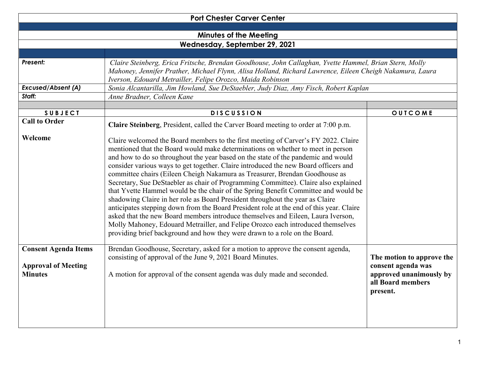|                                                                             | <b>Port Chester Carver Center</b>                                                                                                                                                                                                                                                                                                                                                                                                                                                                                                                                                                                                                                                                                                                                                                                                                                                                                                                                                                                                              |                                                                                                             |  |
|-----------------------------------------------------------------------------|------------------------------------------------------------------------------------------------------------------------------------------------------------------------------------------------------------------------------------------------------------------------------------------------------------------------------------------------------------------------------------------------------------------------------------------------------------------------------------------------------------------------------------------------------------------------------------------------------------------------------------------------------------------------------------------------------------------------------------------------------------------------------------------------------------------------------------------------------------------------------------------------------------------------------------------------------------------------------------------------------------------------------------------------|-------------------------------------------------------------------------------------------------------------|--|
|                                                                             |                                                                                                                                                                                                                                                                                                                                                                                                                                                                                                                                                                                                                                                                                                                                                                                                                                                                                                                                                                                                                                                |                                                                                                             |  |
|                                                                             | <b>Minutes of the Meeting</b>                                                                                                                                                                                                                                                                                                                                                                                                                                                                                                                                                                                                                                                                                                                                                                                                                                                                                                                                                                                                                  |                                                                                                             |  |
| Wednesday, September 29, 2021                                               |                                                                                                                                                                                                                                                                                                                                                                                                                                                                                                                                                                                                                                                                                                                                                                                                                                                                                                                                                                                                                                                |                                                                                                             |  |
| Present:                                                                    | Claire Steinberg, Erica Fritsche, Brendan Goodhouse, John Callaghan, Yvette Hammel, Brian Stern, Molly<br>Mahoney, Jennifer Prather, Michael Flynn, Alisa Holland, Richard Lawrence, Eileen Cheigh Nakamura, Laura<br>Iverson, Edouard Metrailler, Felipe Orozco, Maida Robinson                                                                                                                                                                                                                                                                                                                                                                                                                                                                                                                                                                                                                                                                                                                                                               |                                                                                                             |  |
| <b>Excused/Absent (A)</b>                                                   | Sonia Alcantarilla, Jim Howland, Sue DeStaebler, Judy Diaz, Amy Fisch, Robert Kaplan                                                                                                                                                                                                                                                                                                                                                                                                                                                                                                                                                                                                                                                                                                                                                                                                                                                                                                                                                           |                                                                                                             |  |
| Staff:                                                                      | Anne Bradner, Colleen Kane                                                                                                                                                                                                                                                                                                                                                                                                                                                                                                                                                                                                                                                                                                                                                                                                                                                                                                                                                                                                                     |                                                                                                             |  |
|                                                                             |                                                                                                                                                                                                                                                                                                                                                                                                                                                                                                                                                                                                                                                                                                                                                                                                                                                                                                                                                                                                                                                |                                                                                                             |  |
| <b>SUBJECT</b>                                                              | <b>DISCUSSION</b>                                                                                                                                                                                                                                                                                                                                                                                                                                                                                                                                                                                                                                                                                                                                                                                                                                                                                                                                                                                                                              | OUTCOME                                                                                                     |  |
| <b>Call to Order</b>                                                        | Claire Steinberg, President, called the Carver Board meeting to order at 7:00 p.m.                                                                                                                                                                                                                                                                                                                                                                                                                                                                                                                                                                                                                                                                                                                                                                                                                                                                                                                                                             |                                                                                                             |  |
| Welcome                                                                     | Claire welcomed the Board members to the first meeting of Carver's FY 2022. Claire<br>mentioned that the Board would make determinations on whether to meet in person<br>and how to do so throughout the year based on the state of the pandemic and would<br>consider various ways to get together. Claire introduced the new Board officers and<br>committee chairs (Eileen Cheigh Nakamura as Treasurer, Brendan Goodhouse as<br>Secretary, Sue DeStaebler as chair of Programming Committee). Claire also explained<br>that Yvette Hammel would be the chair of the Spring Benefit Committee and would be<br>shadowing Claire in her role as Board President throughout the year as Claire<br>anticipates stepping down from the Board President role at the end of this year. Claire<br>asked that the new Board members introduce themselves and Eileen, Laura Iverson,<br>Molly Mahoney, Edouard Metrailler, and Felipe Orozco each introduced themselves<br>providing brief background and how they were drawn to a role on the Board. |                                                                                                             |  |
| <b>Consent Agenda Items</b><br><b>Approval of Meeting</b><br><b>Minutes</b> | Brendan Goodhouse, Secretary, asked for a motion to approve the consent agenda,<br>consisting of approval of the June 9, 2021 Board Minutes.<br>A motion for approval of the consent agenda was duly made and seconded.                                                                                                                                                                                                                                                                                                                                                                                                                                                                                                                                                                                                                                                                                                                                                                                                                        | The motion to approve the<br>consent agenda was<br>approved unanimously by<br>all Board members<br>present. |  |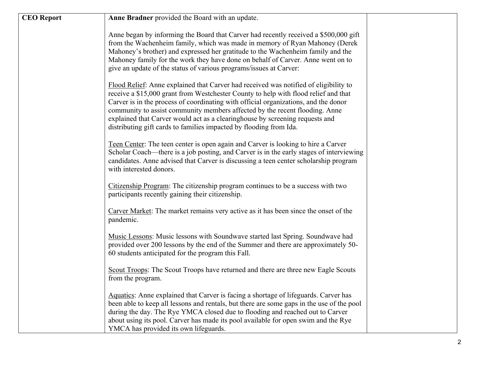| <b>CEO</b> Report | Anne Bradner provided the Board with an update.                                                                                                                                                                                                                                                                                                                                                                                                                                                         |  |
|-------------------|---------------------------------------------------------------------------------------------------------------------------------------------------------------------------------------------------------------------------------------------------------------------------------------------------------------------------------------------------------------------------------------------------------------------------------------------------------------------------------------------------------|--|
|                   | Anne began by informing the Board that Carver had recently received a \$500,000 gift<br>from the Wachenheim family, which was made in memory of Ryan Mahoney (Derek<br>Mahoney's brother) and expressed her gratitude to the Wachenheim family and the<br>Mahoney family for the work they have done on behalf of Carver. Anne went on to<br>give an update of the status of various programs/issues at Carver:                                                                                         |  |
|                   | Flood Relief: Anne explained that Carver had received was notified of eligibility to<br>receive a \$15,000 grant from Westchester County to help with flood relief and that<br>Carver is in the process of coordinating with official organizations, and the donor<br>community to assist community members affected by the recent flooding. Anne<br>explained that Carver would act as a clearinghouse by screening requests and<br>distributing gift cards to families impacted by flooding from Ida. |  |
|                   | Teen Center: The teen center is open again and Carver is looking to hire a Carver<br>Scholar Coach—there is a job posting, and Carver is in the early stages of interviewing<br>candidates. Anne advised that Carver is discussing a teen center scholarship program<br>with interested donors.                                                                                                                                                                                                         |  |
|                   | Citizenship Program: The citizenship program continues to be a success with two<br>participants recently gaining their citizenship.                                                                                                                                                                                                                                                                                                                                                                     |  |
|                   | Carver Market: The market remains very active as it has been since the onset of the<br>pandemic.                                                                                                                                                                                                                                                                                                                                                                                                        |  |
|                   | Music Lessons: Music lessons with Soundwave started last Spring. Soundwave had<br>provided over 200 lessons by the end of the Summer and there are approximately 50-<br>60 students anticipated for the program this Fall.                                                                                                                                                                                                                                                                              |  |
|                   | Scout Troops: The Scout Troops have returned and there are three new Eagle Scouts<br>from the program.                                                                                                                                                                                                                                                                                                                                                                                                  |  |
|                   | Aquatics: Anne explained that Carver is facing a shortage of lifeguards. Carver has<br>been able to keep all lessons and rentals, but there are some gaps in the use of the pool<br>during the day. The Rye YMCA closed due to flooding and reached out to Carver<br>about using its pool. Carver has made its pool available for open swim and the Rye<br>YMCA has provided its own lifeguards.                                                                                                        |  |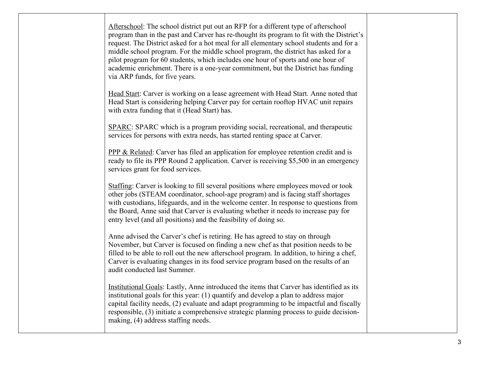| Afterschool: The school district put out an RFP for a different type of afterschool<br>program than in the past and Carver has re-thought its program to fit with the District's<br>request. The District asked for a hot meal for all elementary school students and for a<br>middle school program. For the middle school program, the district has asked for a<br>pilot program for 60 students, which includes one hour of sports and one hour of<br>academic enrichment. There is a one-year commitment, but the District has funding<br>via ARP funds, for five years. |  |
|------------------------------------------------------------------------------------------------------------------------------------------------------------------------------------------------------------------------------------------------------------------------------------------------------------------------------------------------------------------------------------------------------------------------------------------------------------------------------------------------------------------------------------------------------------------------------|--|
| Head Start: Carver is working on a lease agreement with Head Start. Anne noted that<br>Head Start is considering helping Carver pay for certain rooftop HVAC unit repairs<br>with extra funding that it (Head Start) has.                                                                                                                                                                                                                                                                                                                                                    |  |
| SPARC: SPARC which is a program providing social, recreational, and therapeutic<br>services for persons with extra needs, has started renting space at Carver.                                                                                                                                                                                                                                                                                                                                                                                                               |  |
| <b>PPP &amp; Related:</b> Carver has filed an application for employee retention credit and is<br>ready to file its PPP Round 2 application. Carver is receiving \$5,500 in an emergency<br>services grant for food services.                                                                                                                                                                                                                                                                                                                                                |  |
| Staffing: Carver is looking to fill several positions where employees moved or took<br>other jobs (STEAM coordinator, school-age program) and is facing staff shortages<br>with custodians, lifeguards, and in the welcome center. In response to questions from<br>the Board, Anne said that Carver is evaluating whether it needs to increase pay for<br>entry level (and all positions) and the feasibility of doing so.                                                                                                                                                  |  |
| Anne advised the Carver's chef is retiring. He has agreed to stay on through<br>November, but Carver is focused on finding a new chef as that position needs to be<br>filled to be able to roll out the new afterschool program. In addition, to hiring a chef,<br>Carver is evaluating changes in its food service program based on the results of an<br>audit conducted last Summer.                                                                                                                                                                                       |  |
| Institutional Goals: Lastly, Anne introduced the items that Carver has identified as its<br>institutional goals for this year: (1) quantify and develop a plan to address major<br>capital facility needs, (2) evaluate and adapt programming to be impactful and fiscally<br>responsible, (3) initiate a comprehensive strategic planning process to guide decision-<br>making, (4) address staffing needs.                                                                                                                                                                 |  |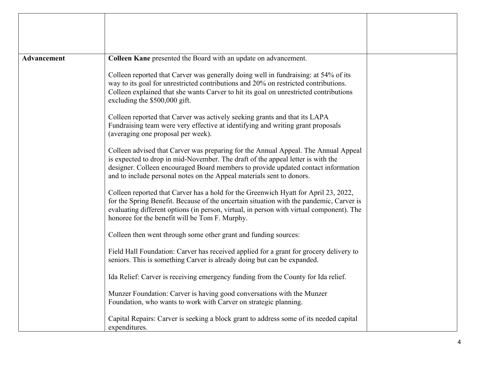| <b>Advancement</b> | Colleen Kane presented the Board with an update on advancement.                                                                                                                                                                                                                                                                     |  |
|--------------------|-------------------------------------------------------------------------------------------------------------------------------------------------------------------------------------------------------------------------------------------------------------------------------------------------------------------------------------|--|
|                    | Colleen reported that Carver was generally doing well in fundraising: at 54% of its<br>way to its goal for unrestricted contributions and 20% on restricted contributions.<br>Colleen explained that she wants Carver to hit its goal on unrestricted contributions<br>excluding the \$500,000 gift.                                |  |
|                    | Colleen reported that Carver was actively seeking grants and that its LAPA<br>Fundraising team were very effective at identifying and writing grant proposals<br>(averaging one proposal per week).                                                                                                                                 |  |
|                    | Colleen advised that Carver was preparing for the Annual Appeal. The Annual Appeal<br>is expected to drop in mid-November. The draft of the appeal letter is with the<br>designer. Colleen encouraged Board members to provide updated contact information<br>and to include personal notes on the Appeal materials sent to donors. |  |
|                    | Colleen reported that Carver has a hold for the Greenwich Hyatt for April 23, 2022,<br>for the Spring Benefit. Because of the uncertain situation with the pandemic, Carver is<br>evaluating different options (in person, virtual, in person with virtual component). The<br>honoree for the benefit will be Tom F. Murphy.        |  |
|                    | Colleen then went through some other grant and funding sources:                                                                                                                                                                                                                                                                     |  |
|                    | Field Hall Foundation: Carver has received applied for a grant for grocery delivery to<br>seniors. This is something Carver is already doing but can be expanded.                                                                                                                                                                   |  |
|                    | Ida Relief: Carver is receiving emergency funding from the County for Ida relief.                                                                                                                                                                                                                                                   |  |
|                    | Munzer Foundation: Carver is having good conversations with the Munzer<br>Foundation, who wants to work with Carver on strategic planning.                                                                                                                                                                                          |  |
|                    | Capital Repairs: Carver is seeking a block grant to address some of its needed capital<br>expenditures.                                                                                                                                                                                                                             |  |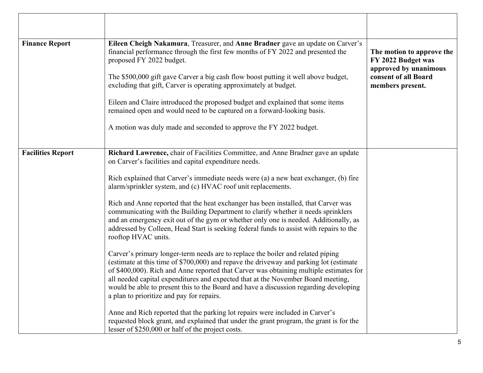| <b>Finance Report</b>    | Eileen Cheigh Nakamura, Treasurer, and Anne Bradner gave an update on Carver's<br>financial performance through the first few months of FY 2022 and presented the<br>proposed FY 2022 budget.<br>The \$500,000 gift gave Carver a big cash flow boost putting it well above budget,<br>excluding that gift, Carver is operating approximately at budget.<br>Eileen and Claire introduced the proposed budget and explained that some items<br>remained open and would need to be captured on a forward-looking basis.<br>A motion was duly made and seconded to approve the FY 2022 budget.                                                                                                                                                                                                                                                                                                                                                                                                                                                                                                                                                                                                                                                                                                                                                                                                                              | The motion to approve the<br>FY 2022 Budget was<br>approved by unanimous<br>consent of all Board<br>members present. |
|--------------------------|--------------------------------------------------------------------------------------------------------------------------------------------------------------------------------------------------------------------------------------------------------------------------------------------------------------------------------------------------------------------------------------------------------------------------------------------------------------------------------------------------------------------------------------------------------------------------------------------------------------------------------------------------------------------------------------------------------------------------------------------------------------------------------------------------------------------------------------------------------------------------------------------------------------------------------------------------------------------------------------------------------------------------------------------------------------------------------------------------------------------------------------------------------------------------------------------------------------------------------------------------------------------------------------------------------------------------------------------------------------------------------------------------------------------------|----------------------------------------------------------------------------------------------------------------------|
| <b>Facilities Report</b> | Richard Lawrence, chair of Facilities Committee, and Anne Bradner gave an update<br>on Carver's facilities and capital expenditure needs.<br>Rich explained that Carver's immediate needs were (a) a new heat exchanger, (b) fire<br>alarm/sprinkler system, and (c) HVAC roof unit replacements.<br>Rich and Anne reported that the heat exchanger has been installed, that Carver was<br>communicating with the Building Department to clarify whether it needs sprinklers<br>and an emergency exit out of the gym or whether only one is needed. Additionally, as<br>addressed by Colleen, Head Start is seeking federal funds to assist with repairs to the<br>rooftop HVAC units.<br>Carver's primary longer-term needs are to replace the boiler and related piping<br>(estimate at this time of \$700,000) and repave the driveway and parking lot (estimate<br>of \$400,000). Rich and Anne reported that Carver was obtaining multiple estimates for<br>all needed capital expenditures and expected that at the November Board meeting,<br>would be able to present this to the Board and have a discussion regarding developing<br>a plan to prioritize and pay for repairs.<br>Anne and Rich reported that the parking lot repairs were included in Carver's<br>requested block grant, and explained that under the grant program, the grant is for the<br>lesser of \$250,000 or half of the project costs. |                                                                                                                      |